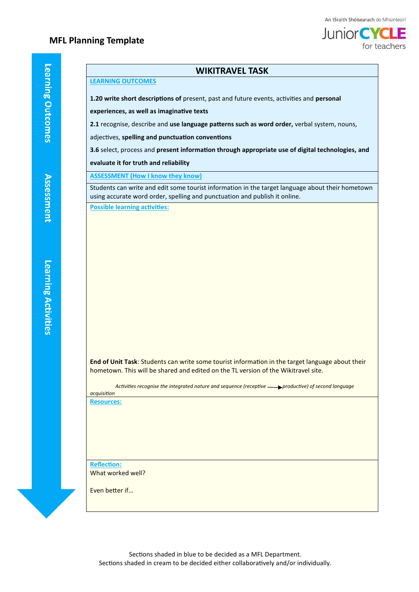## **MFL Planning Template**



#### **WIKITRAVEL TASK**

### **LEARNING OUTCOMES**

**1.20 write short descriptions of** present, past and future events, activities and **personal** 

**experiences, as well as imaginative texts**

**2.1** recognise, describe and **use language patterns such as word order,** verbal system, nouns,

adjectives, **spelling and punctuation conventions**

**3.6** select, process and **present information through appropriate use of digital technologies, and** 

#### **evaluate it for truth and reliability**

**ASSESSMENT (How I know they know)**

Students can write and edit some tourist information in the target language about their hometown using accurate word order, spelling and punctuation and publish it online. **Possible learning activities:**

**End of Unit Task**: Students can write some tourist information in the target language about their hometown. This will be shared and edited on the TL version of the Wikitravel site.

Activities recognise the integrated nature and sequence (receptive **productive)** of second language *acquisition*

**Resources:**

**Reflection:** What worked well?

Even better if…

Learning Activities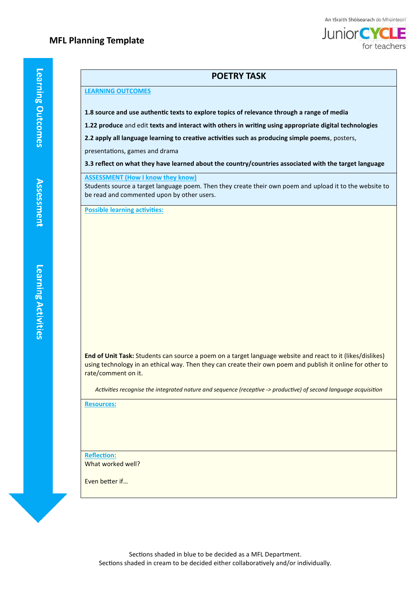for teachers

### **POETRY TASK**

#### **LEARNING OUTCOMES**

**1.8 source and use authentic texts to explore topics of relevance through a range of media**

**1.22 produce** and edit **texts and interact with others in writing using appropriate digital technologies**

**2.2 apply all language learning to creative activities such as producing simple poems**, posters,

presentations, games and drama

**3.3 reflect on what they have learned about the country/countries associated with the target language**

**ASSESSMENT (How I know they know)**

Students source a target language poem. Then they create their own poem and upload it to the website to be read and commented upon by other users.

**Possible learning activities:**

**End of Unit Task:** Students can source a poem on a target language website and react to it (likes/dislikes) using technology in an ethical way. Then they can create their own poem and publish it online for other to rate/comment on it.

*Activities recognise the integrated nature and sequence (receptive -> productive) of second language acquisition*

**Resources:**

**Reflection:** What worked well?

Even better if…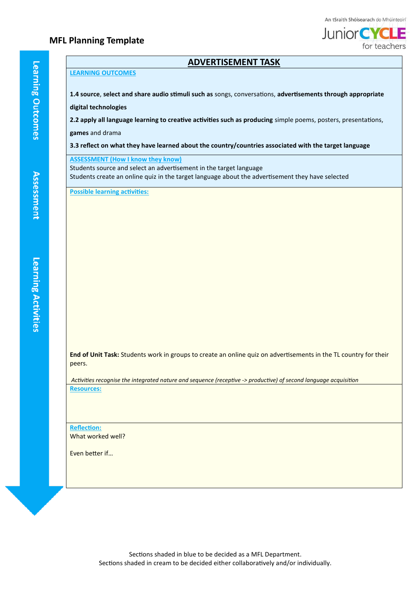### **MFL Planning Template**



### **ADVERTISEMENT TASK**

#### **LEARNING OUTCOMES**

**1.4 source**, **select and share audio stimuli such as** songs, conversations, **advertisements through appropriate** 

**digital technologies**

**2.2 apply all language learning to creative activities such as producing** simple poems, posters, presentations,

**games** and drama

**3.3 reflect on what they have learned about the country/countries associated with the target language**

**ASSESSMENT (How I know they know)**

Students source and select an advertisement in the target language Students create an online quiz in the target language about the advertisement they have selected

**Possible learning activities:**

**End of Unit Task:** Students work in groups to create an online quiz on advertisements in the TL country for their peers.

*Activities recognise the integrated nature and sequence (receptive -> productive) of second language acquisition* **Resources:**

**Reflection:** What worked well?

Even better if…

Sections shaded in blue to be decided as a MFL Department. Sections shaded in cream to be decided either collaboratively and/or individually.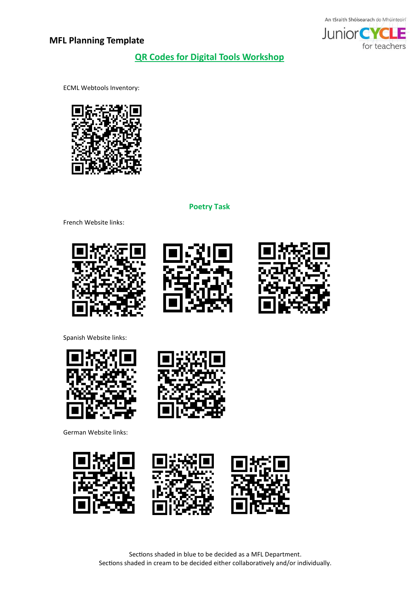



**QR Codes for Digital Tools Workshop**

ECML Webtools Inventory:



**Poetry Task**

French Website links:







Spanish Website links:



German Website links: